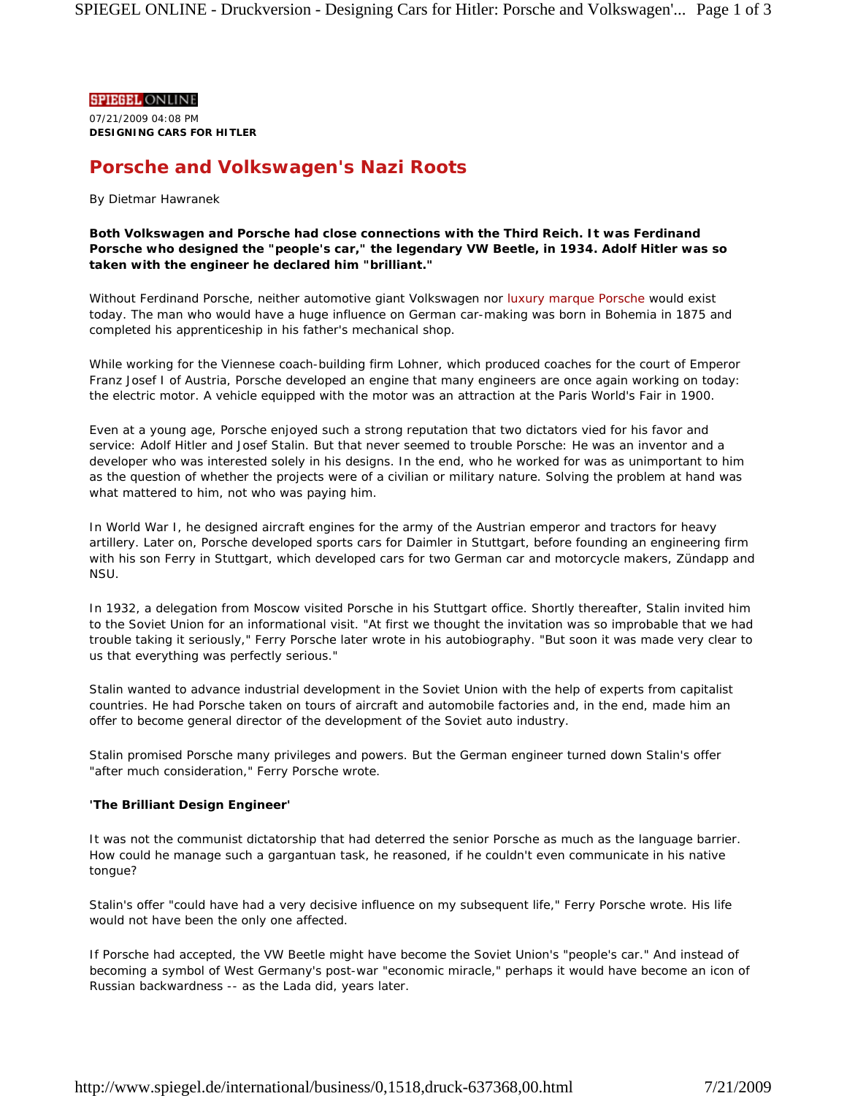**DESIGNING CARS FOR HITLER**  07/21/2009 04:08 PM

# **Porsche and Volkswagen's Nazi Roots**

# *By Dietmar Hawranek*

**Both Volkswagen and Porsche had close connections with the Third Reich. It was Ferdinand Porsche who designed the "people's car," the legendary VW Beetle, in 1934. Adolf Hitler was so taken with the engineer he declared him "brilliant."** 

Without Ferdinand Porsche, neither automotive giant Volkswagen nor luxury marque Porsche would exist today. The man who would have a huge influence on German car-making was born in Bohemia in 1875 and completed his apprenticeship in his father's mechanical shop.

While working for the Viennese coach-building firm Lohner, which produced coaches for the court of Emperor Franz Josef I of Austria, Porsche developed an engine that many engineers are once again working on today: the electric motor. A vehicle equipped with the motor was an attraction at the Paris World's Fair in 1900.

Even at a young age, Porsche enjoyed such a strong reputation that two dictators vied for his favor and service: Adolf Hitler and Josef Stalin. But that never seemed to trouble Porsche: He was an inventor and a developer who was interested solely in his designs. In the end, who he worked for was as unimportant to him as the question of whether the projects were of a civilian or military nature. Solving the problem at hand was what mattered to him, not who was paying him.

In World War I, he designed aircraft engines for the army of the Austrian emperor and tractors for heavy artillery. Later on, Porsche developed sports cars for Daimler in Stuttgart, before founding an engineering firm with his son Ferry in Stuttgart, which developed cars for two German car and motorcycle makers, Zündapp and NSU.

In 1932, a delegation from Moscow visited Porsche in his Stuttgart office. Shortly thereafter, Stalin invited him to the Soviet Union for an informational visit. "At first we thought the invitation was so improbable that we had trouble taking it seriously," Ferry Porsche later wrote in his autobiography. "But soon it was made very clear to us that everything was perfectly serious."

Stalin wanted to advance industrial development in the Soviet Union with the help of experts from capitalist countries. He had Porsche taken on tours of aircraft and automobile factories and, in the end, made him an offer to become general director of the development of the Soviet auto industry.

Stalin promised Porsche many privileges and powers. But the German engineer turned down Stalin's offer "after much consideration," Ferry Porsche wrote.

# **'The Brilliant Design Engineer'**

It was not the communist dictatorship that had deterred the senior Porsche as much as the language barrier. How could he manage such a gargantuan task, he reasoned, if he couldn't even communicate in his native tongue?

Stalin's offer "could have had a very decisive influence on my subsequent life," Ferry Porsche wrote. His life would not have been the only one affected.

If Porsche had accepted, the VW Beetle might have become the Soviet Union's "people's car." And instead of becoming a symbol of West Germany's post-war "economic miracle," perhaps it would have become an icon of Russian backwardness -- as the Lada did, years later.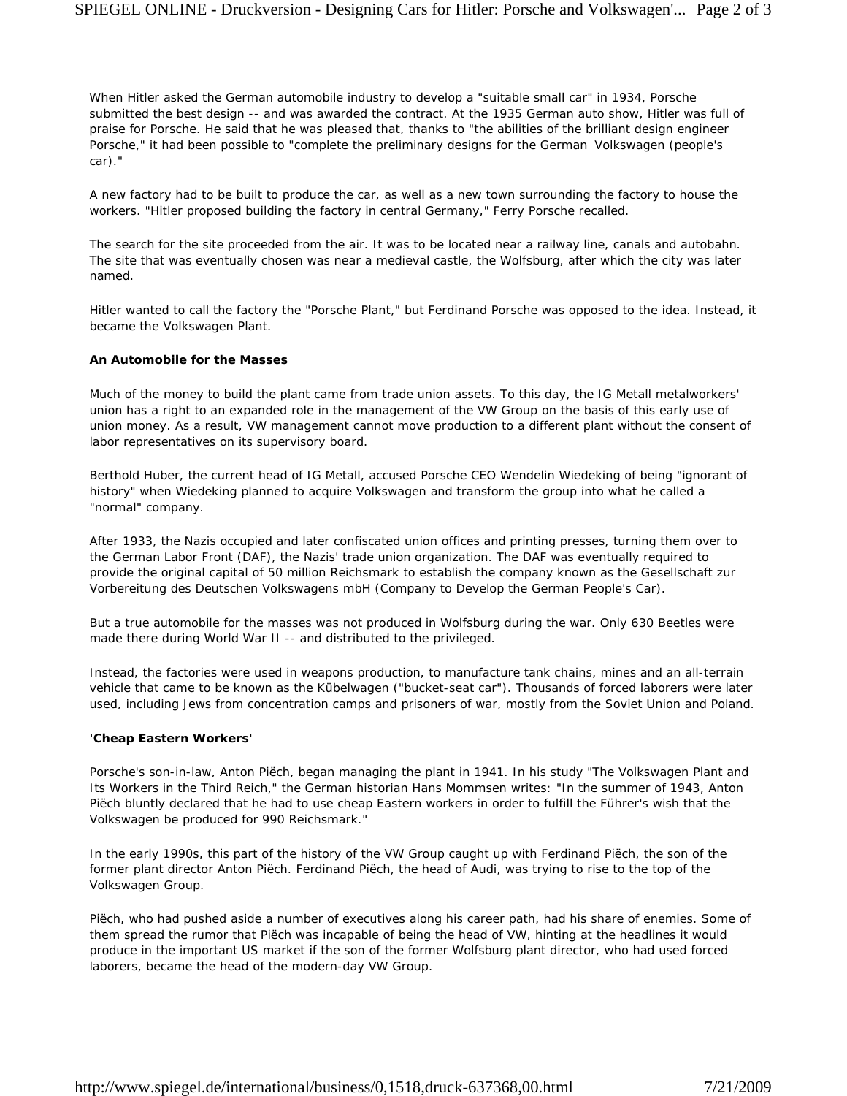When Hitler asked the German automobile industry to develop a "suitable small car" in 1934, Porsche submitted the best design -- and was awarded the contract. At the 1935 German auto show, Hitler was full of praise for Porsche. He said that he was pleased that, thanks to "the abilities of the brilliant design engineer Porsche," it had been possible to "complete the preliminary designs for the German *Volkswagen* (people's car)."

A new factory had to be built to produce the car, as well as a new town surrounding the factory to house the workers. "Hitler proposed building the factory in central Germany," Ferry Porsche recalled.

The search for the site proceeded from the air. It was to be located near a railway line, canals and autobahn. The site that was eventually chosen was near a medieval castle, the Wolfsburg, after which the city was later named.

Hitler wanted to call the factory the "Porsche Plant," but Ferdinand Porsche was opposed to the idea. Instead, it became the Volkswagen Plant.

### **An Automobile for the Masses**

Much of the money to build the plant came from trade union assets. To this day, the IG Metall metalworkers' union has a right to an expanded role in the management of the VW Group on the basis of this early use of union money. As a result, VW management cannot move production to a different plant without the consent of labor representatives on its supervisory board.

Berthold Huber, the current head of IG Metall, accused Porsche CEO Wendelin Wiedeking of being "ignorant of history" when Wiedeking planned to acquire Volkswagen and transform the group into what he called a "normal" company.

After 1933, the Nazis occupied and later confiscated union offices and printing presses, turning them over to the German Labor Front (DAF), the Nazis' trade union organization. The DAF was eventually required to provide the original capital of 50 million Reichsmark to establish the company known as the Gesellschaft zur Vorbereitung des Deutschen Volkswagens mbH (Company to Develop the German People's Car).

But a true automobile for the masses was not produced in Wolfsburg during the war. Only 630 Beetles were made there during World War II -- and distributed to the privileged.

Instead, the factories were used in weapons production, to manufacture tank chains, mines and an all-terrain vehicle that came to be known as the Kübelwagen ("bucket-seat car"). Thousands of forced laborers were later used, including Jews from concentration camps and prisoners of war, mostly from the Soviet Union and Poland.

#### **'Cheap Eastern Workers'**

Porsche's son-in-law, Anton Piëch, began managing the plant in 1941. In his study "The Volkswagen Plant and Its Workers in the Third Reich," the German historian Hans Mommsen writes: "In the summer of 1943, Anton Piëch bluntly declared that he had to use cheap Eastern workers in order to fulfill the Führer's wish that the Volkswagen be produced for 990 Reichsmark."

In the early 1990s, this part of the history of the VW Group caught up with Ferdinand Piëch, the son of the former plant director Anton Piëch. Ferdinand Piëch, the head of Audi, was trying to rise to the top of the Volkswagen Group.

Piëch, who had pushed aside a number of executives along his career path, had his share of enemies. Some of them spread the rumor that Piëch was incapable of being the head of VW, hinting at the headlines it would produce in the important US market if the son of the former Wolfsburg plant director, who had used forced laborers, became the head of the modern-day VW Group.